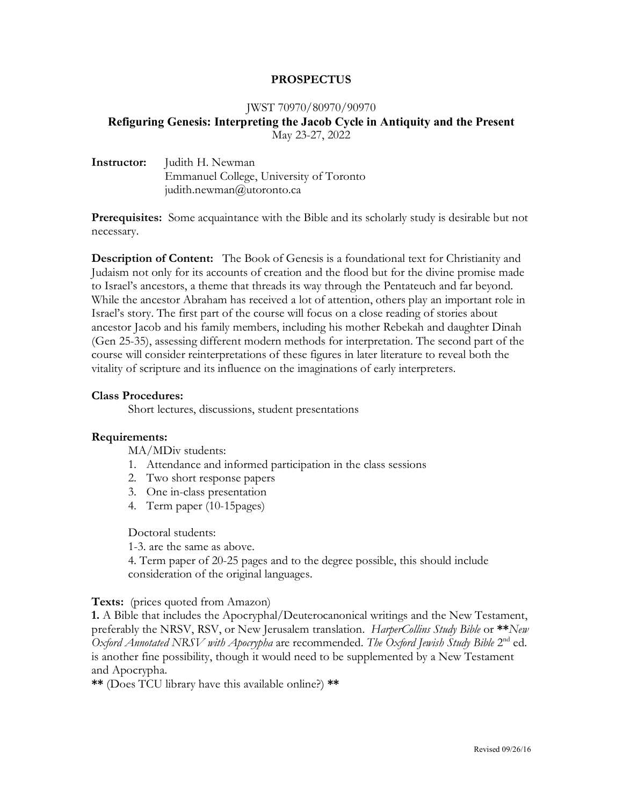### **PROSPECTUS**

#### JWST 70970/80970/90970

# **Refiguring Genesis: Interpreting the Jacob Cycle in Antiquity and the Present** May 23-27, 2022

| Instructor: | Judith H. Newman                        |
|-------------|-----------------------------------------|
|             | Emmanuel College, University of Toronto |
|             | judith.newman@utoronto.ca               |

**Prerequisites:** Some acquaintance with the Bible and its scholarly study is desirable but not necessary.

**Description of Content:** The Book of Genesis is a foundational text for Christianity and Judaism not only for its accounts of creation and the flood but for the divine promise made to Israel's ancestors, a theme that threads its way through the Pentateuch and far beyond. While the ancestor Abraham has received a lot of attention, others play an important role in Israel's story. The first part of the course will focus on a close reading of stories about ancestor Jacob and his family members, including his mother Rebekah and daughter Dinah (Gen 25-35), assessing different modern methods for interpretation. The second part of the course will consider reinterpretations of these figures in later literature to reveal both the vitality of scripture and its influence on the imaginations of early interpreters.

#### **Class Procedures:**

Short lectures, discussions, student presentations

### **Requirements:**

MA/MDiv students:

- 1. Attendance and informed participation in the class sessions
- 2. Two short response papers
- 3. One in-class presentation
- 4. Term paper (10-15pages)

Doctoral students:

1-3. are the same as above.

4. Term paper of 20-25 pages and to the degree possible, this should include consideration of the original languages.

### **Texts:** (prices quoted from Amazon)

**1.** A Bible that includes the Apocryphal/Deuterocanonical writings and the New Testament, preferably the NRSV, RSV, or New Jerusalem translation. *HarperCollins Study Bible* or **\*\****New Oxford Annotated NRSV with Apocrypha* are recommended. *The Oxford Jewish Study Bible* 2nd ed. is another fine possibility, though it would need to be supplemented by a New Testament and Apocrypha.

**\*\*** (Does TCU library have this available online?) **\*\***